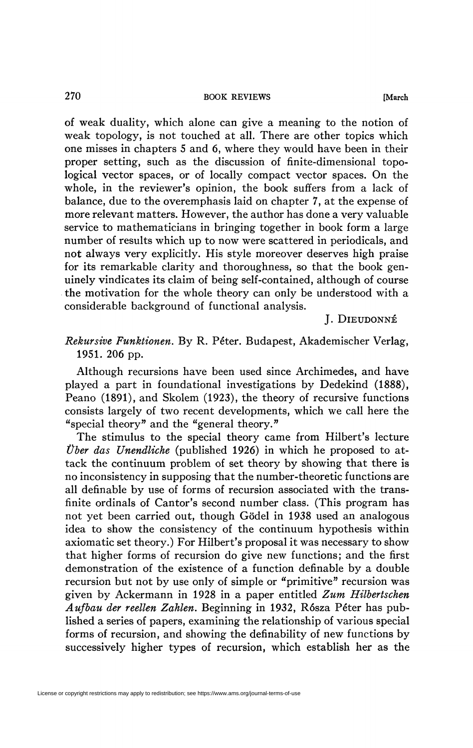of weak duality, which alone can give a meaning to the notion of weak topology, is not touched at all. There are other topics which one misses in chapters 5 and 6, where they would have been in their proper setting, such as the discussion of finite-dimensional topological vector spaces, or of locally compact vector spaces. On the whole, in the reviewer's opinion, the book suffers from a lack of balance, due to the overemphasis laid on chapter 7, at the expense of more relevant matters. However, the author has done a very valuable service to mathematicians in bringing together in book form a large number of results which up to now were scattered in periodicals, and not always very explicitly. His style moreover deserves high praise for its remarkable clarity and thoroughness, so that the book genuinely vindicates its claim of being self-contained, although of course the motivation for the whole theory can only be understood with a considerable background of functional analysis.

## **J. DlEUDONNÉ**

*Rekursive Funktionen.* By R. Péter. Budapest, Akademischer Verlag, 1951. 206 pp.

Although recursions have been used since Archimedes, and have played a part in foundational investigations by Dedekind (1888), Peano (1891), and Skolem (1923), the theory of recursive functions consists largely of two recent developments, which we call here the "special theory" and the "general theory. "

The stimulus to the special theory came from Hilbert's lecture *Über das Unendliche* (published 1926) in which he proposed to attack the continuum problem of set theory by showing that there is no inconsistency in supposing that the number-theoretic functions are all definable by use of forms of recursion associated with the transfinite ordinals of Cantor's second number class. (This program has not yet been carried out, though Gödel in 1938 used an analogous idea to show the consistency of the continuum hypothesis within axiomatic set theory.) For Hilbert's proposal it was necessary to show that higher forms of recursion do give new functions; and the first demonstration of the existence of a function definable by a double recursion but not by use only of simple or "primitive" recursion was given by Ackermann in 1928 in a paper entitled *Zum Hilbertschen Aufbau der reellen Zahlen.* Beginning in 1932, Rósza Péter has published a series of papers, examining the relationship of various special forms of recursion, and showing the definability of new functions by successively higher types of recursion, which establish her as the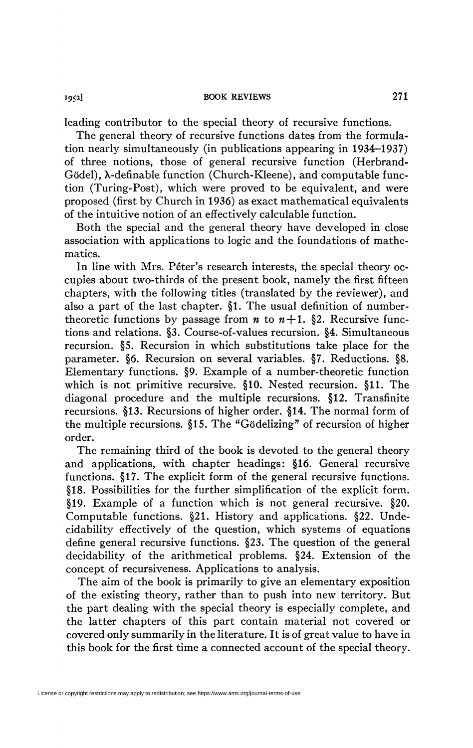leading contributor to the special theory of recursive functions.

The general theory of recursive functions dates from the formulation nearly simultaneously (in publications appearing in 1934-1937) of three notions, those of general recursive function (Herbrand-Gödel),  $\lambda$ -definable function (Church-Kleene), and computable function (Turing-Post), which were proved to be equivalent, and were proposed (first by Church in 1936) as exact mathematical equivalents of the intuitive notion of an effectively calculable function.

Both the special and the general theory have developed in close association with applications to logic and the foundations of mathematics.

In line with Mrs. Péter's research interests, the special theory occupies about two-thirds of the present book, namely the first fifteen chapters, with the following titles (translated by the reviewer), and also a part of the last chapter. §1. The usual definition of numbertheoretic functions by passage from  $n \times n + 1$ . §2. Recursive functions and relations. §3. Course-of-values recursion. §4. Simultaneous recursion. §5. Recursion in which substitutions take place for the parameter. §6. Recursion on several variables. §7. Reductions. §8. Elementary functions. §9. Example of a number-theoretic function which is not primitive recursive. §10. Nested recursion. §11. The diagonal procedure and the multiple recursions. §12. Transfinite recursions. §13. Recursions of higher order. §14. The normal form of the multiple recursions. §15. The "Gödelizing" of recursion of higher order.

The remaining third of the book is devoted to the general theory and applications, with chapter headings: §16. General recursive functions. §17. The explicit form of the general recursive functions. §18. Possibilities for the further simplification of the explicit form. §19. Example of a function which is not general recursive. §20. Computable functions. §21. History and applications. §22. Undecidability effectively of the question, which systems of equations define general recursive functions. §23. The question of the general decidability of the arithmetical problems. §24. Extension of the concept of recursiveness. Applications to analysis.

The aim of the book is primarily to give an elementary exposition of the existing theory, rather than to push into new territory. But the part dealing with the special theory is especially complete, and the latter chapters of this part contain material not covered or covered only summarily in the literature. It is of great value to have in this book for the first time a connected account of the special theory.